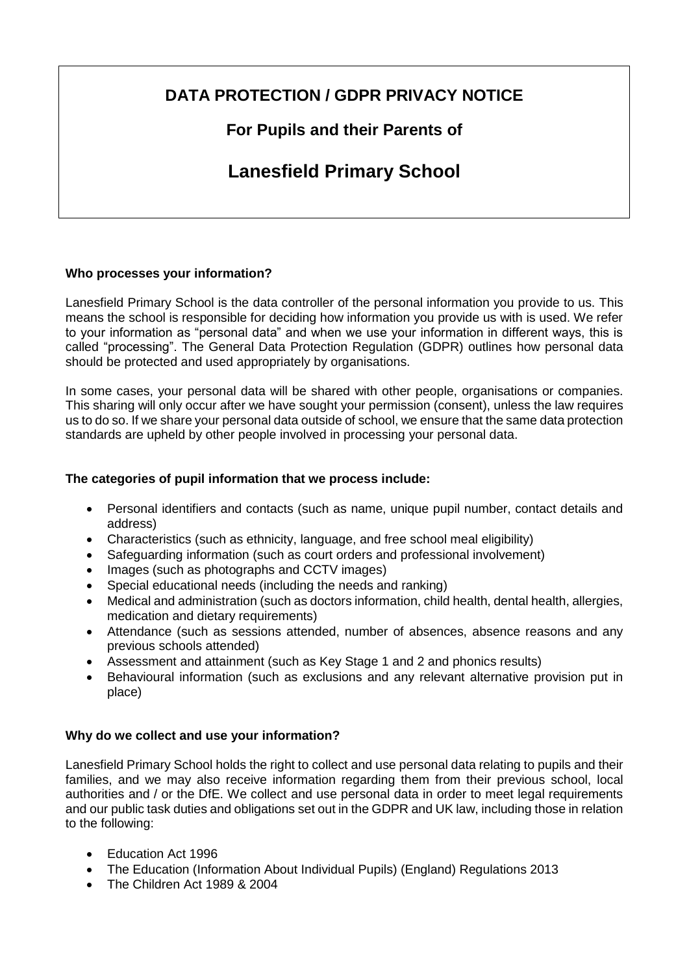# **DATA PROTECTION / GDPR PRIVACY NOTICE**

## **For Pupils and their Parents of**

# **Lanesfield Primary School**

## **Who processes your information?**

Lanesfield Primary School is the data controller of the personal information you provide to us. This means the school is responsible for deciding how information you provide us with is used. We refer to your information as "personal data" and when we use your information in different ways, this is called "processing". The General Data Protection Regulation (GDPR) outlines how personal data should be protected and used appropriately by organisations.

In some cases, your personal data will be shared with other people, organisations or companies. This sharing will only occur after we have sought your permission (consent), unless the law requires us to do so. If we share your personal data outside of school, we ensure that the same data protection standards are upheld by other people involved in processing your personal data.

## **The categories of pupil information that we process include:**

- Personal identifiers and contacts (such as name, unique pupil number, contact details and address)
- Characteristics (such as ethnicity, language, and free school meal eligibility)
- Safeguarding information (such as court orders and professional involvement)
- Images (such as photographs and CCTV images)
- Special educational needs (including the needs and ranking)
- Medical and administration (such as doctors information, child health, dental health, allergies, medication and dietary requirements)
- Attendance (such as sessions attended, number of absences, absence reasons and any previous schools attended)
- Assessment and attainment (such as Key Stage 1 and 2 and phonics results)
- Behavioural information (such as exclusions and any relevant alternative provision put in place)

## **Why do we collect and use your information?**

Lanesfield Primary School holds the right to collect and use personal data relating to pupils and their families, and we may also receive information regarding them from their previous school, local authorities and / or the DfE. We collect and use personal data in order to meet legal requirements and our public task duties and obligations set out in the GDPR and UK law, including those in relation to the following:

- Education Act 1996
- The Education (Information About Individual Pupils) (England) Regulations 2013
- The Children Act 1989 & 2004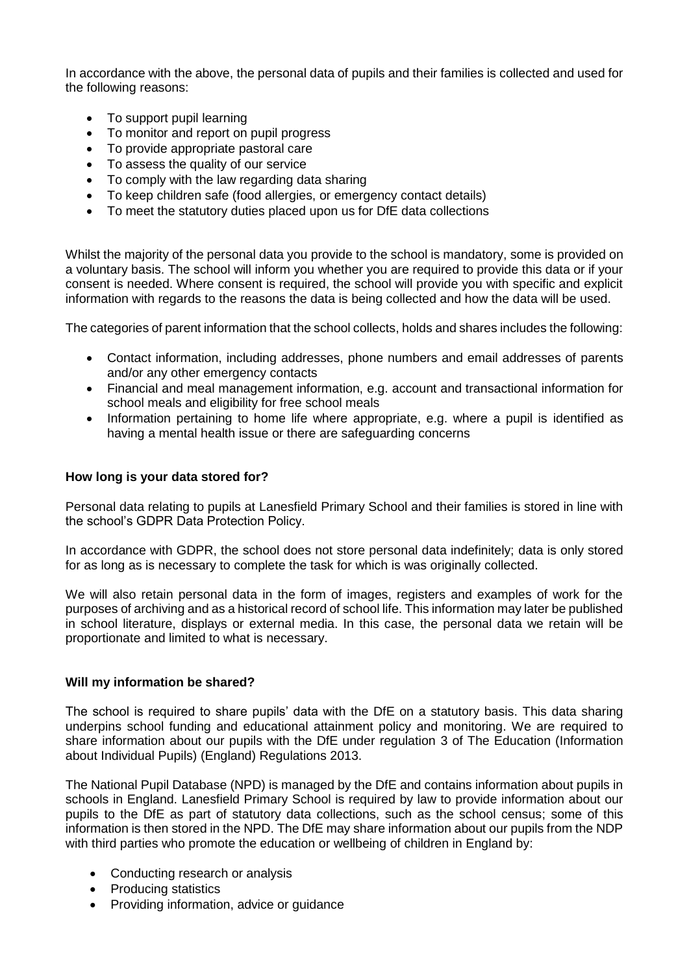In accordance with the above, the personal data of pupils and their families is collected and used for the following reasons:

- To support pupil learning
- To monitor and report on pupil progress
- To provide appropriate pastoral care
- To assess the quality of our service
- To comply with the law regarding data sharing
- To keep children safe (food allergies, or emergency contact details)
- To meet the statutory duties placed upon us for DfE data collections

Whilst the majority of the personal data you provide to the school is mandatory, some is provided on a voluntary basis. The school will inform you whether you are required to provide this data or if your consent is needed. Where consent is required, the school will provide you with specific and explicit information with regards to the reasons the data is being collected and how the data will be used.

The categories of parent information that the school collects, holds and shares includes the following:

- Contact information, including addresses, phone numbers and email addresses of parents and/or any other emergency contacts
- Financial and meal management information, e.g. account and transactional information for school meals and eligibility for free school meals
- Information pertaining to home life where appropriate, e.g. where a pupil is identified as having a mental health issue or there are safeguarding concerns

#### **How long is your data stored for?**

Personal data relating to pupils at Lanesfield Primary School and their families is stored in line with the school's GDPR Data Protection Policy.

In accordance with GDPR, the school does not store personal data indefinitely; data is only stored for as long as is necessary to complete the task for which is was originally collected.

We will also retain personal data in the form of images, registers and examples of work for the purposes of archiving and as a historical record of school life. This information may later be published in school literature, displays or external media. In this case, the personal data we retain will be proportionate and limited to what is necessary.

#### **Will my information be shared?**

The school is required to share pupils' data with the DfE on a statutory basis. This data sharing underpins school funding and educational attainment policy and monitoring. We are required to share information about our pupils with the DfE under regulation 3 of The Education (Information about Individual Pupils) (England) Regulations 2013.

The National Pupil Database (NPD) is managed by the DfE and contains information about pupils in schools in England. Lanesfield Primary School is required by law to provide information about our pupils to the DfE as part of statutory data collections, such as the school census; some of this information is then stored in the NPD. The DfE may share information about our pupils from the NDP with third parties who promote the education or wellbeing of children in England by:

- Conducting research or analysis
- Producing statistics
- Providing information, advice or guidance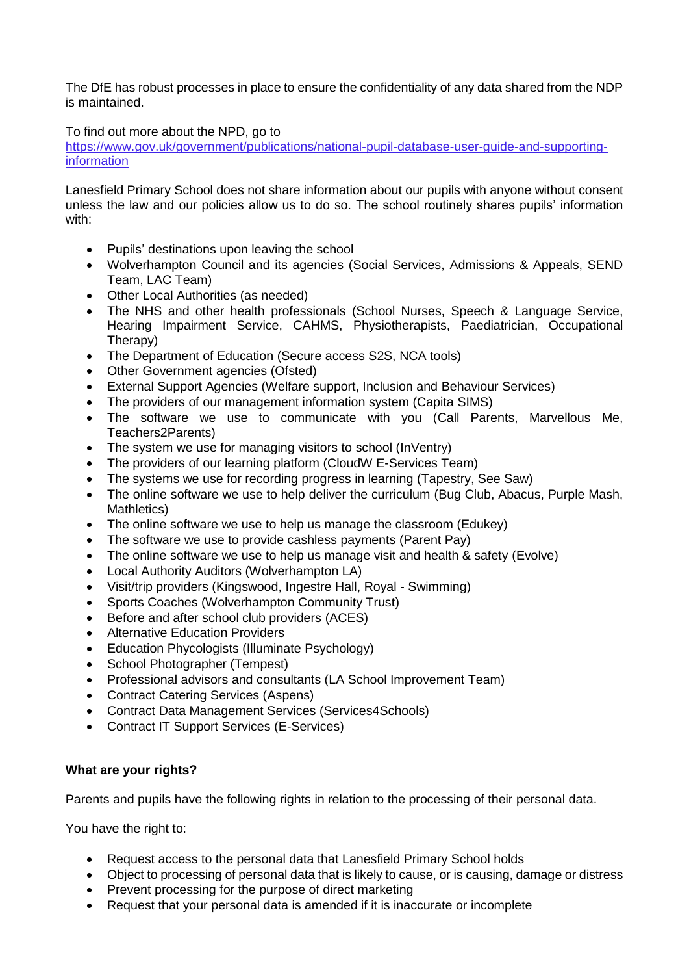The DfE has robust processes in place to ensure the confidentiality of any data shared from the NDP is maintained.

To find out more about the NPD, go to

https://www.gov.uk/government/publications/national-pupil-database-user-guide-and-supportinginformation

Lanesfield Primary School does not share information about our pupils with anyone without consent unless the law and our policies allow us to do so. The school routinely shares pupils' information with:

- Pupils' destinations upon leaving the school
- Wolverhampton Council and its agencies (Social Services, Admissions & Appeals, SEND Team, LAC Team)
- Other Local Authorities (as needed)
- The NHS and other health professionals (School Nurses, Speech & Language Service, Hearing Impairment Service, CAHMS, Physiotherapists, Paediatrician, Occupational Therapy)
- The Department of Education (Secure access S2S, NCA tools)
- Other Government agencies (Ofsted)
- External Support Agencies (Welfare support, Inclusion and Behaviour Services)
- The providers of our management information system (Capita SIMS)
- The software we use to communicate with you (Call Parents, Marvellous Me, Teachers2Parents)
- The system we use for managing visitors to school (InVentry)
- The providers of our learning platform (CloudW E-Services Team)
- The systems we use for recording progress in learning (Tapestry, See Saw)
- The online software we use to help deliver the curriculum (Bug Club, Abacus, Purple Mash, Mathletics)
- The online software we use to help us manage the classroom (Edukey)
- The software we use to provide cashless payments (Parent Pay)
- The online software we use to help us manage visit and health & safety (Evolve)
- Local Authority Auditors (Wolverhampton LA)
- Visit/trip providers (Kingswood, Ingestre Hall, Royal Swimming)
- Sports Coaches (Wolverhampton Community Trust)
- Before and after school club providers (ACES)
- Alternative Education Providers
- Education Phycologists (Illuminate Psychology)
- School Photographer (Tempest)
- Professional advisors and consultants (LA School Improvement Team)
- Contract Catering Services (Aspens)
- Contract Data Management Services (Services4Schools)
- Contract IT Support Services (E-Services)

## **What are your rights?**

Parents and pupils have the following rights in relation to the processing of their personal data.

You have the right to:

- Request access to the personal data that Lanesfield Primary School holds
- Object to processing of personal data that is likely to cause, or is causing, damage or distress
- Prevent processing for the purpose of direct marketing
- Request that your personal data is amended if it is inaccurate or incomplete